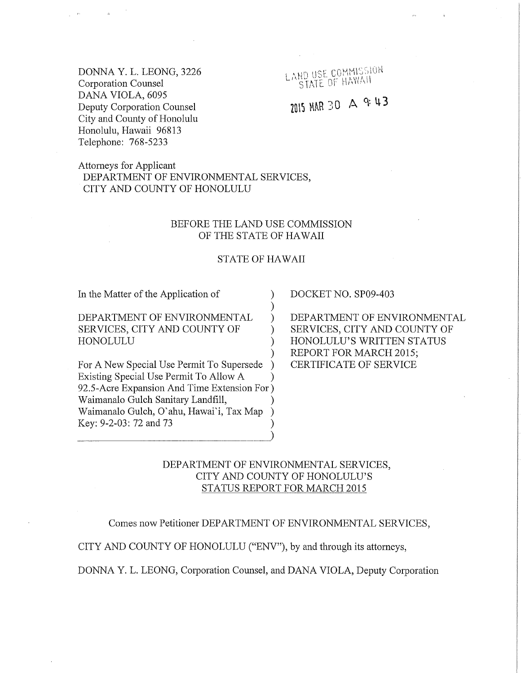DONNA Y. L. LEONG, 3226 Corporation Counsel DANA VIOLA, 6095 Deputy Corporation Counsel City and County of Honolulu Honolulu, Hawaii 96813 Telephone: 768-5233

LAND USE COMMISSION **BU USE COTANAIL** 

# $2015$  MAR 30 A 9: 43

Attorneys for Applicant DEPARTMENT OF ENVIRONMENTAL SERVICES, CITY AND COUNTY OF HONOLULU

## BEFORE THE LAND USE COMMISSION OF THE STATE OF HAWAII

### STATE OF HAWAII

) ) )

) ) )

In the Matter of the Application of

DEPARTMENT OF ENVIRONMENTAL SERVICES, CITY AND COUNTY OF HONOLULU

For A New Special Use Permit To Supersede Existing Special Use Permit To Allow A ) ) 92.5-Acre Expansion And Time Extension For ) Waimanalo Gulch Sanitary Landfill, ) Waimanalo Gulch, O'ahu, Hawai'i, Tax Map ) Key: 9-2-03: 72 and 73 ) DOCKET NO. SP09-403

DEPARTMENT OF ENVIRONMENTAL SERVICES, CITY AND COUNTY OF HONOLULU'S WRITTEN STATUS REPORT FOR MARCH 2015; CERTIFICATE OF SERVICE

## DEPARTMENT OF ENVIRONMENTAL SERVICES, CITY AND COUNTY OF HONOLULU'S STATUS REPORT FOR MARCH 2015

Comes now Petitioner DEPARTMENT OF ENVIRONMENTAL SERVICES,

CITY AND COUNTY OF HONOLULU ("ENV"), by and through its attorneys,

DONNA Y. L. LEONG, Corporation Counsel, and DANA VIOLA, Deputy Corporation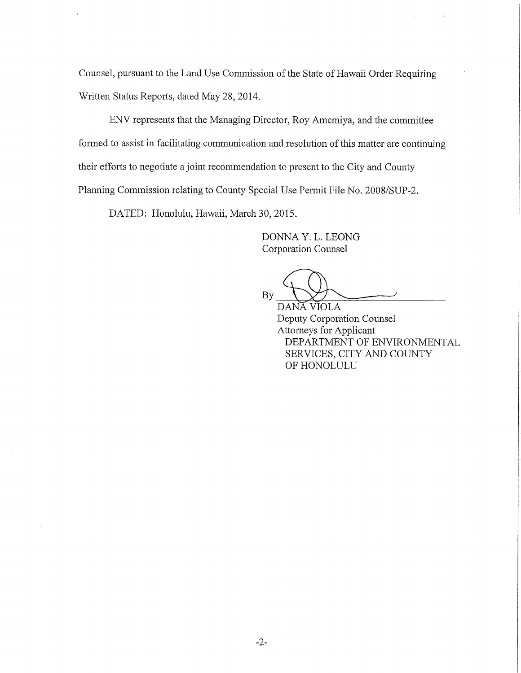Counsel, pursuant to the Land Use Commission of the State of Hawaii Order Requiring Written Status Reports, dated May 28, 2014.

ENV represents that the Managing Director, Roy Amemiya, and the committee formed to assist in facilitating communication and resolution of this matter are continuing their efforts to negotiate a joint recommendation to present to the City and County Planning Commission relating to County Special Use Permit File No. 2008/SUP-2.

DATED: Honolulu, Hawaii, March 30, 2015.

DONNA Y. L. LEONG Corporation Counsel

**By** 

DANA VIOLA Deputy Corporation Counsel Attorneys for Applicant DEPARTMENT OF ENVIRONMENTAL SERVICES, CITY AND COUNTY OF HONOLULU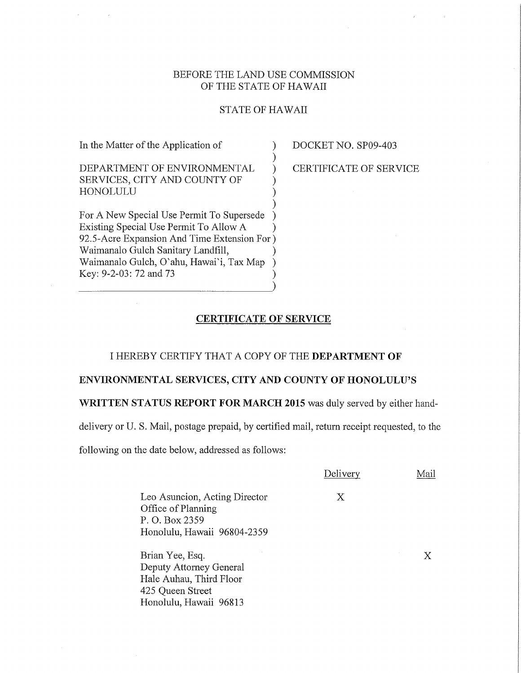## BEFORE THE LAND USE COMMISSION OF THE STATE OF HAWAII

## STATE OF HAWAII

) ) )

) ) )

In the Matter of the Application of

DEPARTMENT OF ENVIRONMENTAL SERVICES, CITY AND COUNTY OF HONOLULU

For A New Special Use Permit To Supersede Existing Special Use Permit To Allow A ) ) 92.5-Acre Expansion And Time Extension For ) Waimanalo Gulch Sanitary Landfill, ) Waimanalo Gulch, O'ahu, Hawai'i, Tax Map ) Key: 9-2-03: 72 and 73 )

DOCKET NO. SP09-403

CERTIFICATE OF SERVICE

## CERTIFICATE OF SERVICE

## I HEREBY CERTIFY THAT A COPY OF THE DEPARTMENT OF

## ENVIRONMENTAL SERVICES, CITY AND COUNTY OF HONOLULU'S

#### WRITTEN STATUS REPORT FOR MARCH 2015 was duly served by either hand-

delivery or U. S. Mail, postage prepaid, by certified mail, return receipt requested, to the

following on the date below, addressed as follows:

|                                                                                                      | Delivery | Mail |
|------------------------------------------------------------------------------------------------------|----------|------|
| Leo Asuncion, Acting Director<br>Office of Planning<br>P. O. Box 2359<br>Honolulu, Hawaii 96804-2359 | Х        |      |
| Brian Yee, Esq.<br>Deputy Attorney General<br>Hale Auhau, Third Floor                                |          |      |
| 425 Queen Street<br>Honolulu, Hawaii 96813                                                           |          |      |